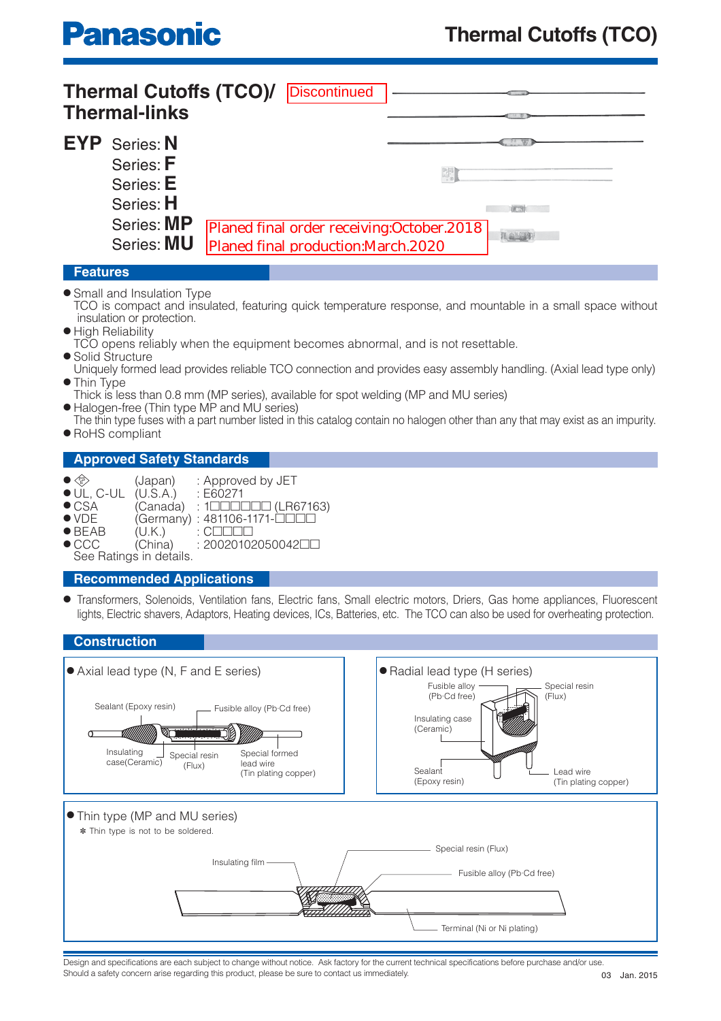|             | <b>Thermal Cutoffs (TCO)/</b><br><b>Thermal-links</b>                                   | Discontinued                                                                       |  |
|-------------|-----------------------------------------------------------------------------------------|------------------------------------------------------------------------------------|--|
|             | <b>EYP</b> Series: N<br>Series: F<br>Series: E<br>Series: H<br>Series: MP<br>Series: MU | Planed final order receiving: October.2018<br>Planed final production: March. 2020 |  |
| $E$ aaturaa |                                                                                         |                                                                                    |  |

## **Features**

- Small and Insulation Type
- TCO is compact and insulated, featuring quick temperature response, and mountable in a small space without insulation or protection.
- High Reliability
- TCO opens reliably when the equipment becomes abnormal, and is not resettable.
- Solid Structure
- Uniquely formed lead provides reliable TCO connection and provides easy assembly handling. (Axial lead type only) Thin Type
- Thick is less than 0.8 mm (MP series), available for spot welding (MP and MU series)
- Halogen-free (Thin type MP and MU series)
- The thin type fuses with a part number listed in this catalog contain no halogen other than any that may exist as an impurity. ● RoHS compliant

# **Approved Safety Standards**

- PS E
- $(Japan)$  : Approved by JET  $(U.S.A.)$  : E60271  $\bullet$  UL, C-UL (U.S.A.)
- CSA (Canada) : 1□□□□□ (LR67163)
- VDE (Germany) : 481106-1171-□□□□<br>● BEAB (U.K.) : C□□□
- BEAB (U.K.) : C□□□□<br>● CCC (China) : 20020102
- $(China)$  : 20020102050042□
- See Ratings in details.

# **Recommended Applications**

● Transformers, Solenoids, Ventilation fans, Electric fans, Small electric motors, Driers, Gas home appliances, Fluorescent lights, Electric shavers, Adaptors, Heating devices, ICs, Batteries, etc. The TCO can also be used for overheating protection.



Design and specifications are each subject to change without notice. Ask factory for the current technical specifications before purchase and/or use Should a safety concern arise regarding this product, please be sure to contact us immediately.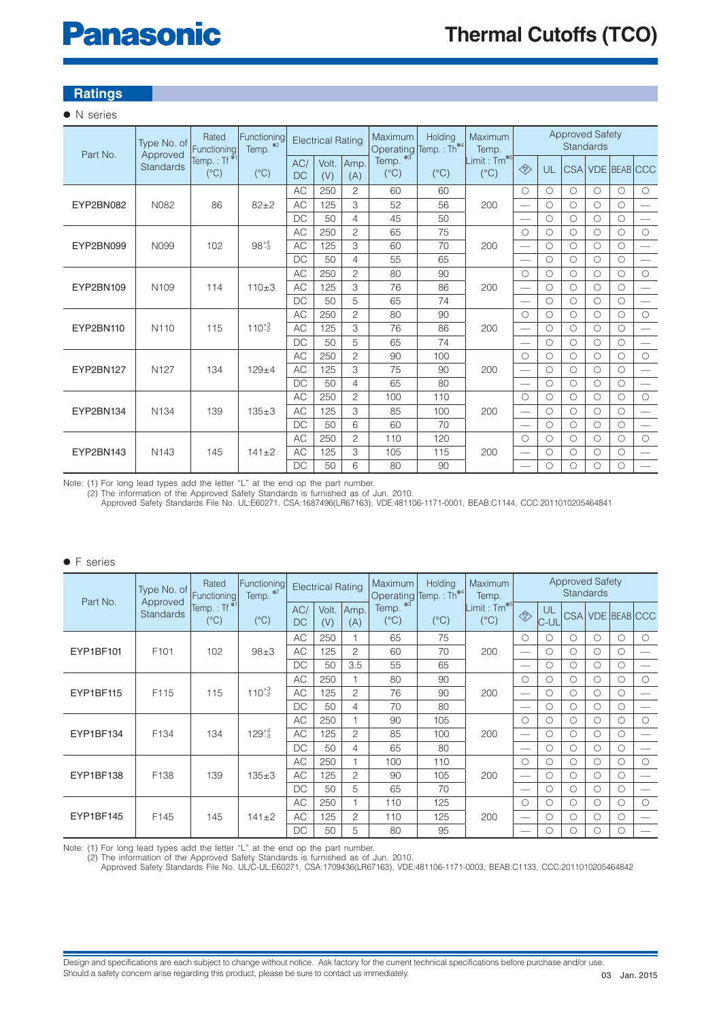# **Panasonic**

# **Ratings**

## ● N series

| Part No.  | Type No. of<br>Approved | Rated<br>Functioning                     | Functioning<br>Temp. *2 |                  | <b>Electrical Rating</b> |                | Maximum<br>Operating           | Holding<br>Temp.: Th <sup>*4</sup> | Maximum<br>Temp.                         |                                                                                              |            | <b>Approved Safety</b><br>Standards |            |            |                          |
|-----------|-------------------------|------------------------------------------|-------------------------|------------------|--------------------------|----------------|--------------------------------|------------------------------------|------------------------------------------|----------------------------------------------------------------------------------------------|------------|-------------------------------------|------------|------------|--------------------------|
|           | <b>Standards</b>        | Temp.: Tf <sup>*1</sup><br>$(^{\circ}C)$ | $(^{\circ}C)$           | AC/<br><b>DC</b> | Volt.<br>(V)             | Amp.<br>(A)    | $*3$<br>Temp.<br>$(^{\circ}C)$ | $(^{\circ}C)$                      | Limit: Tm <sup>*5</sup><br>$(^{\circ}C)$ | $\left\langle \begin{matrix} \mathbf{P} \mathbf{S} \\ \mathbf{E} \end{matrix} \right\rangle$ | UL         |                                     |            |            | CSA VDE BEAB CCC         |
|           |                         |                                          |                         | AC               | 250                      | $\overline{c}$ | 60                             | 60                                 |                                          | $\bigcirc$                                                                                   | $\bigcirc$ | $\bigcirc$                          | $\bigcirc$ | $\bigcirc$ | $\circ$                  |
| EYP2BN082 | N082                    | 86                                       | $82 + 2$                | <b>AC</b>        | 125                      | 3              | 52                             | 56                                 | 200                                      | $\overline{\phantom{0}}$                                                                     | $\bigcirc$ | $\bigcirc$                          | Ω          | $\bigcirc$ | $\equiv$                 |
|           |                         |                                          |                         | <b>DC</b>        | 50                       | $\overline{4}$ | 45                             | 50                                 |                                          |                                                                                              | $\bigcirc$ | $\bigcirc$                          | $\bigcirc$ | $\bigcirc$ | $\equiv$                 |
|           |                         |                                          |                         | <b>AC</b>        | 250                      | $\overline{c}$ | 65                             | 75                                 |                                          | $\bigcirc$                                                                                   | $\bigcirc$ | $\bigcirc$                          | $\bigcirc$ | $\circ$    | $\circ$                  |
| EYP2BN099 | N <sub>099</sub>        | 102                                      | $98^{+4}_{-3}$          | <b>AC</b>        | 125                      | 3              | 60                             | 70                                 | 200                                      |                                                                                              | $\bigcirc$ | $\bigcirc$                          | $\bigcirc$ | $\circ$    | $\overline{\phantom{0}}$ |
|           |                         |                                          |                         | DC               | 50                       | 4              | 55                             | 65                                 |                                          |                                                                                              | $\bigcirc$ | $\circ$                             | $\circ$    | $\circ$    | $\overline{\phantom{0}}$ |
|           |                         |                                          |                         | <b>AC</b>        | 250                      | $\overline{c}$ | 80                             | 90                                 |                                          | $\circ$                                                                                      | $\bigcirc$ | $\bigcirc$                          | $\bigcirc$ | $\circ$    | $\circ$                  |
| EYP2BN109 | N <sub>109</sub>        | 114                                      | $110+3$                 | <b>AC</b>        | 125                      | 3              | 76                             | 86                                 | 200                                      |                                                                                              | $\bigcirc$ | $\bigcirc$                          | Ο          | $\circ$    | $\overline{\phantom{0}}$ |
|           |                         |                                          |                         | <b>DC</b>        | 50                       | 5              | 65                             | 74                                 |                                          |                                                                                              | $\bigcirc$ | $\bigcirc$                          | $\bigcirc$ | $\circ$    | $\overline{\phantom{0}}$ |
|           |                         |                                          |                         | <b>AC</b>        | 250                      | $\mathbf{2}$   | 80                             | 90                                 |                                          | $\bigcirc$                                                                                   | $\bigcirc$ | $\bigcirc$                          | O          | $\bigcirc$ | $\circ$                  |
| EYP2BN110 | N <sub>110</sub>        | 115                                      | $110^{+3}_{-2}$         | AC               | 125                      | 3              | 76                             | 86                                 | 200                                      | $\overline{\phantom{0}}$                                                                     | $\bigcirc$ | $\bigcirc$                          | $\bigcirc$ | $\circ$    | $\overline{\phantom{0}}$ |
|           |                         |                                          |                         | <b>DC</b>        | 50                       | 5              | 65                             | 74                                 |                                          |                                                                                              | $\circ$    | $\circ$                             | O          | $\circ$    |                          |
|           |                         |                                          |                         | AC               | 250                      | $\overline{c}$ | 90                             | 100                                |                                          | $\circ$                                                                                      | $\bigcirc$ | $\circ$                             | $\bigcirc$ | $\circ$    | $\bigcirc$               |
| EYP2BN127 | N <sub>127</sub>        | 134                                      | $129 + 4$               | <b>AC</b>        | 125                      | 3              | 75                             | 90                                 | 200                                      | $\overline{\phantom{0}}$                                                                     | $\bigcirc$ | $\circ$                             | $\bigcirc$ | $\circ$    | $\overline{\phantom{0}}$ |
|           |                         |                                          |                         | DC               | 50                       | $\overline{4}$ | 65                             | 80                                 |                                          | $\overline{\phantom{0}}$                                                                     | $\bigcirc$ | $\circ$                             | $\circ$    | $\circ$    | $\equiv$                 |
|           |                         |                                          |                         | <b>AC</b>        | 250                      | $\overline{c}$ | 100                            | 110                                |                                          | $\bigcirc$                                                                                   | $\bigcirc$ | $\bigcirc$                          | $\bigcirc$ | $\bigcirc$ | $\circ$                  |
| EYP2BN134 | N <sub>134</sub>        | 139                                      | $135 + 3$               | <b>AC</b>        | 125                      | 3              | 85                             | 100                                | 200                                      | $\overline{\phantom{0}}$                                                                     | $\bigcirc$ | $\bigcirc$                          | $\bigcirc$ | $\circ$    | $\equiv$                 |
|           |                         |                                          |                         | <b>DC</b>        | 50                       | 6              | 60                             | 70                                 |                                          |                                                                                              | $\bigcirc$ | $\bigcirc$                          | $\bigcirc$ | $\circ$    | $\qquad \qquad -$        |
|           |                         |                                          |                         | <b>AC</b>        | 250                      | $\overline{c}$ | 110                            | 120                                |                                          | $\bigcirc$                                                                                   | $\bigcirc$ | $\bigcirc$                          | $\bigcirc$ | $\bigcirc$ | $\circ$                  |
| EYP2BN143 | N <sub>143</sub>        | 145                                      | $141 + 2$               | <b>AC</b>        | 125                      | 3              | 105                            | 115                                | 200                                      | $\overline{\phantom{0}}$                                                                     | $\circ$    | $\circ$                             | $\circ$    | $\circ$    |                          |
|           |                         |                                          |                         | <b>DC</b>        | 50                       | 6              | 80                             | 90                                 |                                          |                                                                                              | Ο          | $\bigcirc$                          | Ο          | $\circ$    | $\overline{\phantom{0}}$ |

Note: (1) For long lead types add the letter "L" at the end op the part number.

(2) The information of the Approved Safety Standards is furnished as of Jun. 2010.

Approved Safety Standards File No. UL:E60271, CSA:1687496(LR67163), VDE:481106-1171-0001, BEAB:C1144, CCC:2011010205464841

#### ● F series

| Part No.  | Type No. of<br>Approved | Rated<br>Functioning                     | Functioning<br>Temp. *2 |                  | <b>Electrical Rating</b> |                | Maximum<br>Holding<br>Temp.: Th <sup>*4</sup><br>Operating |               | Maximum<br>Temp.               |         | <b>Approved Safety</b><br><b>Standards</b> |            |            |            |                  |  |
|-----------|-------------------------|------------------------------------------|-------------------------|------------------|--------------------------|----------------|------------------------------------------------------------|---------------|--------------------------------|---------|--------------------------------------------|------------|------------|------------|------------------|--|
|           | <b>Standards</b>        | Temp.: Tf <sup>*1</sup><br>$(^{\circ}C)$ | $(^{\circ}C)$           | AC/<br><b>DC</b> | Volt.<br>(V)             | Amp.<br>(A)    | Temp. *3<br>$(^{\circ}C)$                                  | $(^{\circ}C)$ | $Limit: Tm*5$<br>$(^{\circ}C)$ | ◈       | UL<br>IC-UL                                |            |            |            | CSA VDE BEAB CCC |  |
| EYP1BF101 |                         |                                          |                         | AC               | 250                      |                | 65                                                         | 75            |                                | $\circ$ | Ω                                          | $\circ$    | Ο          | $\bigcirc$ | $\bigcirc$       |  |
|           | F <sub>101</sub>        | 102                                      | $98 + 3$                | AC               | 125                      | $\overline{c}$ | 60                                                         | 70            | 200                            |         | O                                          | Ο          | Ω          | $\circ$    |                  |  |
|           |                         |                                          |                         | DC               | 50                       | 3.5            | 55                                                         | 65            |                                |         | Ο                                          | О          | О          | О          |                  |  |
|           |                         |                                          |                         | AC               | 250                      |                | 80                                                         | 90            |                                | О       | Ω                                          | O          | Ω          | $\circ$    | $\bigcirc$       |  |
| EYP1BF115 | F115                    | 115                                      | $110^{+3}$              | <b>AC</b>        | 125                      | $\overline{c}$ | 76                                                         | 90            | 200                            |         | О                                          | O          | O          | $\circ$    |                  |  |
|           |                         |                                          |                         | <b>DC</b>        | 50                       | 4              | 70                                                         | 80            |                                |         | $\bigcirc$                                 | O          | Ω          | $\circ$    |                  |  |
|           |                         |                                          |                         | AC               | 250                      |                | 90                                                         | 105           |                                | $\circ$ | O                                          | $\circ$    | $\bigcirc$ | $\circ$    | $\bigcirc$       |  |
| EYP1BF134 | F <sub>134</sub>        | 134                                      | $129^{+4}_{-3}$         | <b>AC</b>        | 125                      | $\overline{c}$ | 85                                                         | 100           | 200                            |         | $\bigcirc$                                 | O          | Ο          | $\circ$    |                  |  |
|           |                         |                                          |                         | DC               | 50                       | 4              | 65                                                         | 80            |                                |         | $\bigcirc$                                 | $\circ$    | О          | $\circ$    |                  |  |
|           |                         |                                          |                         | AC               | 250                      |                | 100                                                        | 110           |                                | O       | O                                          | O          | O          | $\circ$    | $\circ$          |  |
| EYP1BF138 | F138                    | 139                                      | $135+3$                 | AC               | 125                      | 2              | 90                                                         | 105           | 200                            |         | О                                          | O          | О          | О          |                  |  |
|           |                         |                                          |                         | <b>DC</b>        | 50                       | 5              | 65                                                         | 70            |                                |         | $\bigcirc$                                 | $\bigcirc$ | Ω          | $\bigcirc$ |                  |  |
|           |                         |                                          |                         | AC               | 250                      |                | 110                                                        | 125           |                                | O       | Ο                                          | O          | Ω          | О          | $\circ$          |  |
| EYP1BF145 | F145                    | 145                                      | $141 + 2$               | <b>AC</b>        | 125                      | $\overline{c}$ | 110                                                        | 125           | 200                            |         | Ω                                          | О          | Ο          | $\circ$    |                  |  |
|           |                         |                                          |                         | DC               | 50                       | 5              | 80                                                         | 95            |                                |         | Ο                                          | О          | O          | $\circ$    |                  |  |

Note: (1) For long lead types add the letter "L" at the end op the part number.

(2) The information of the Approved Safety Standards is furnished as of Jun. 2010. Approved Safety Standards File No. UL/C-UL:E60271, CSA:1709436(LR67163), VDE:481106-1171-0003, BEAB:C1133, CCC:2011010205464842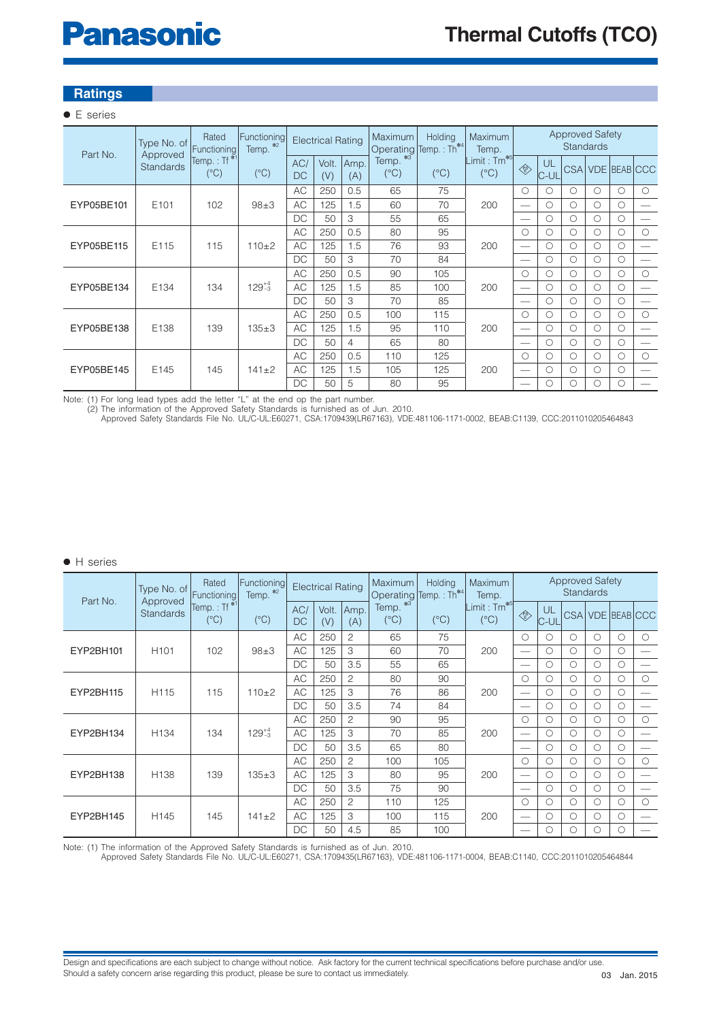# **Panasonic**

# **Ratings**

# ● E series

| Part No.   | Type No. of<br>Approved | Rated<br>Functioning            | Functioning <br>Temp. *2                                              |                  | <b>Electrical Rating</b> |                | Maximum<br>Holding<br>Operating Temp.: Th <sup>*4</sup> |               | Maximum<br>Temp.                         |                                                                                             | <b>Approved Safety</b><br><b>Standards</b> |            |   |                  |            |  |
|------------|-------------------------|---------------------------------|-----------------------------------------------------------------------|------------------|--------------------------|----------------|---------------------------------------------------------|---------------|------------------------------------------|---------------------------------------------------------------------------------------------|--------------------------------------------|------------|---|------------------|------------|--|
|            | <b>Standards</b>        | $"Temp.:Tf*1"$<br>$(^{\circ}C)$ | $(^{\circ}C)$                                                         | AC/<br><b>DC</b> | Volt.<br>(V)             | Amp.<br>(A)    | Temp. *3<br>$(^{\circ}C)$                               | $(^{\circ}C)$ | Limit: Tm <sup>*5</sup><br>$(^{\circ}C)$ | $\begin{matrix} \begin{smallmatrix} \mathcal{P} \mathcal{S} \end{smallmatrix} \end{matrix}$ | UL<br>IC-UL                                |            |   | CSA VDE BEAB CCC |            |  |
| EYP05BE101 |                         |                                 |                                                                       | <b>AC</b>        | 250                      | 0.5            | 65                                                      | 75            |                                          | $\bigcirc$                                                                                  | ∩                                          | $\bigcirc$ | ∩ | $\bigcirc$       | $\bigcirc$ |  |
|            | E <sub>101</sub>        | 102                             | $98 + 3$                                                              | <b>AC</b>        | 125                      | 1.5            | 60                                                      | 70            | 200                                      |                                                                                             | Ο                                          | O          | Ω | $\circ$          |            |  |
|            |                         |                                 |                                                                       | DC               | 50                       | 3              | 55                                                      | 65            |                                          |                                                                                             | Ο                                          | О          | О | $\circ$          |            |  |
|            |                         |                                 |                                                                       | AC               | 250                      | 0.5            | 80                                                      | 95            |                                          | $\circ$                                                                                     | Ω                                          | О          | Ο | $\circ$          | $\circ$    |  |
| EYP05BE115 | E115                    | 115                             | $110+2$                                                               | <b>AC</b>        | 125                      | 1.5            | 76                                                      | 93            | 200                                      |                                                                                             | O                                          | О          | O | $\circ$          |            |  |
|            |                         |                                 |                                                                       | DC               | 50                       | 3              | 70                                                      | 84            |                                          | $\sim$                                                                                      | Ο                                          | О          | О | $\circ$          |            |  |
|            |                         |                                 | <b>AC</b><br>250<br>0.5<br>$129^{+4}_{-3}$<br><b>AC</b><br>125<br>1.5 | 90               | 105                      |                | $\bigcirc$                                              | Ο             | $\bigcirc$                               | O                                                                                           | $\circ$                                    | $\bigcirc$ |   |                  |            |  |
| EYP05BE134 | E134                    | 134                             |                                                                       |                  |                          |                | 85                                                      | 100           | 200                                      |                                                                                             | Ο                                          | $\bigcirc$ | O | $\circ$          |            |  |
|            |                         |                                 |                                                                       | DC               | 50                       | 3              | 70                                                      | 85            |                                          |                                                                                             | Ω                                          | $\circ$    | О | $\circ$          |            |  |
|            |                         |                                 |                                                                       | AC               | 250                      | 0.5            | 100                                                     | 115           |                                          | $\circ$                                                                                     | O                                          | O          | O | $\circ$          | $\circ$    |  |
| EYP05BE138 | E138                    | 139                             | $135 + 3$                                                             | <b>AC</b>        | 125                      | 1.5            | 95                                                      | 110           | 200                                      |                                                                                             | Ο                                          | О          | О | $\circ$          |            |  |
|            |                         |                                 |                                                                       | DC               | 50                       | $\overline{4}$ | 65                                                      | 80            |                                          |                                                                                             | Ο                                          | О          | Ω | $\circ$          |            |  |
|            |                         |                                 |                                                                       | <b>AC</b>        | 250                      | 0.5            | 110                                                     | 125           |                                          | $\bigcirc$                                                                                  | ∩                                          | Ο          | ∩ | $\bigcirc$       | $\bigcirc$ |  |
| EYP05BE145 | E145                    | 145                             | $141 + 2$                                                             | <b>AC</b>        | 125                      | 1.5            | 105                                                     | 125           | 200                                      |                                                                                             | Ο                                          | О          | O | $\circ$          |            |  |
|            |                         |                                 |                                                                       | DC               | 50                       | 5              | 80                                                      | 95            |                                          |                                                                                             | ∩                                          | О          | O | О                |            |  |

Note: (1) For long lead types add the letter "L" at the end op the part number.

(2) The information of the Approved Safety Standards is furnished as of Jun. 2010. Approved Safety Standards File No. UL/C-UL:E60271, CSA:1709439(LR67163), VDE:481106-1171-0002, BEAB:C1139, CCC:2011010205464843

● H series

| Part No.  | Type No. of<br>Approved | Rated<br>Functioning                     | Functioning<br>Temp. *2 |                      | <b>Electrical Rating</b> |                | Maximum<br>Operating           | Holding<br>Temp.: Th*4   | Maximum<br>Temp.                         |                                                                                    |            | <b>Approved Safety</b> | <b>Standards</b> |                  |            |
|-----------|-------------------------|------------------------------------------|-------------------------|----------------------|--------------------------|----------------|--------------------------------|--------------------------|------------------------------------------|------------------------------------------------------------------------------------|------------|------------------------|------------------|------------------|------------|
|           | <b>Standards</b>        | Temp.: Tf <sup>*1</sup><br>$(^{\circ}C)$ | $(^{\circ}C)$           | AC/<br><b>DC</b>     | Volt.<br>(V)             | Amp.<br>(A)    | $*3$<br>Temp.<br>$(^{\circ}C)$ | $(^{\circ}C)$            | Limit: Tm <sup>*5</sup><br>$(^{\circ}C)$ | $\left\langle \begin{matrix} \mathsf{PS} \ \mathsf{ES} \end{matrix} \right\rangle$ | UL<br>C-UL |                        |                  | CSA VDE BEAB CCC |            |
|           |                         |                                          |                         | AC                   | 250                      | $\overline{c}$ | 65                             | 75                       |                                          | $\bigcirc$                                                                         | ◯          | $\bigcirc$             | $\bigcirc$       | $\bigcirc$       | $\bigcirc$ |
| EYP2BH101 | H <sub>101</sub>        | 102                                      | $98 + 3$                | AC.                  | 125                      | 3              | 60                             | 70                       | 200                                      |                                                                                    | $\bigcirc$ | $\bigcirc$             | $\bigcirc$       | $\bigcirc$       |            |
|           |                         |                                          |                         | DC                   | 50                       | 3.5            | 55                             | 65                       |                                          | $\overline{\phantom{a}}$                                                           | $\bigcirc$ | $\circ$                | $\bigcirc$       | $\circ$          |            |
|           |                         |                                          |                         | AC                   | 250                      | 2              | 80                             | 90                       |                                          | $\bigcirc$                                                                         | O          | $\bigcirc$             | $\bigcirc$       | $\bigcirc$       | $\bigcirc$ |
| EYP2BH115 | H115                    | 115                                      | $110+2$                 | AC<br>125<br>3<br>76 |                          | 86             | 200                            | $\overline{\phantom{0}}$ | $\bigcirc$                               | $\bigcirc$                                                                         | $\bigcirc$ | $\bigcirc$             |                  |                  |            |
|           |                         |                                          |                         | DC                   | 50                       | 3.5            | 74                             | 84                       |                                          | $\qquad \qquad -$                                                                  | $\bigcirc$ | $\bigcirc$             | $\bigcirc$       | $\bigcirc$       |            |
|           |                         | 134                                      |                         | AC                   | 250                      | 2              | 90                             | 95                       |                                          | $\circ$<br>$\bigcirc$                                                              |            | $\bigcirc$             | $\bigcirc$       | $\bigcirc$       | $\bigcirc$ |
| EYP2BH134 | H <sub>134</sub>        |                                          | $129_{-3}^{+4}$         | <b>AC</b>            | 125                      | 3              | 70                             | 85                       | 200                                      |                                                                                    | $\bigcirc$ | $\bigcirc$             | ◯                | $\bigcirc$       |            |
|           |                         |                                          |                         | DC                   | 50                       | 3.5            | 65                             | 80                       |                                          |                                                                                    | $\bigcirc$ | $\circ$                | $\bigcirc$       | $\circ$          |            |
|           |                         |                                          |                         | AC                   | 250                      | 2              | 100                            | 105                      |                                          | $\bigcirc$                                                                         | ∩          | $\bigcirc$             | $\bigcirc$       | $\bigcirc$       | $\bigcirc$ |
| EYP2BH138 | H <sub>138</sub>        | 139                                      | $135 + 3$               | AC                   | 125                      | 3              | 80                             | 95                       | 200                                      |                                                                                    | $\bigcirc$ | $\bigcirc$             | $\bigcirc$       | $\bigcirc$       |            |
|           |                         |                                          |                         | DC                   | 50                       | 3.5            | 75                             | 90                       |                                          |                                                                                    | ∩          | $\bigcirc$             | $\bigcirc$       | $\bigcirc$       |            |
|           |                         |                                          |                         | AC                   | 250                      | 2              | 110                            | 125                      |                                          | $\bigcirc$                                                                         | O          | $\bigcirc$             | ◯                | $\bigcirc$       | $\bigcirc$ |
| EYP2BH145 | H <sub>145</sub>        | 145                                      | $141 + 2$               | AC                   | 125                      | 3              | 100                            | 115                      | 200                                      |                                                                                    | $\bigcirc$ | $\bigcirc$             | $\bigcirc$       | $\bigcirc$       |            |
|           |                         |                                          |                         | DC                   | 50                       | 4.5            | 85                             | 100                      |                                          | $\frac{1}{2}$                                                                      | ∩          | $\bigcirc$             | $\bigcirc$       | $\bigcirc$       |            |

Note: (1) The information of the Approved Safety Standards is furnished as of Jun. 2010. Approved Safety Standards File No. UL/C-UL:E60271, CSA:1709435(LR67163), VDE:481106-1171-0004, BEAB:C1140, CCC:2011010205464844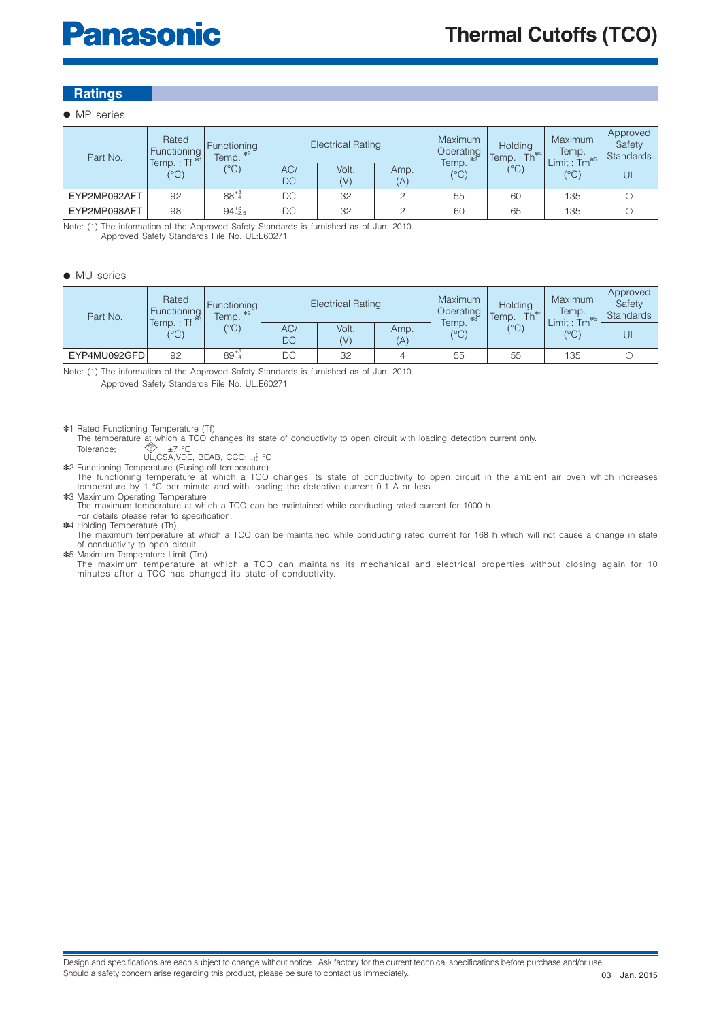# **Ratings**

#### ● MP series

| Part No.     | Rated<br>Functioning<br>Temp.: Tf $*1$<br>(°C) | Functioning<br>$*2$<br>Temp.<br>(°C) |           | <b>Electrical Rating</b> |             | Maximum<br>Operating<br>$*3$<br>Temp. | Holding<br>$\text{Temp.}: \text{Th}^{*4}$ | <b>Maximum</b><br>Temp.<br>$Limit : Tm*5$ | Approved<br>Safety<br><b>Standards</b> |
|--------------|------------------------------------------------|--------------------------------------|-----------|--------------------------|-------------|---------------------------------------|-------------------------------------------|-------------------------------------------|----------------------------------------|
|              |                                                |                                      | AC/<br>DC | Volt.<br>(V)             | Amp.<br>(A) | $(^{\circ}C)$                         | $(^{\circ}C)$                             | (°C)                                      | UL                                     |
| EYP2MP092AFT | 92                                             | $88^{+3}_{-4}$                       | DC        | 32                       |             | 55                                    | 60                                        | 135                                       |                                        |
| EYP2MP098AFT | 98                                             | $94^{+3}_{-2.5}$                     | DC        | 32                       |             | 60                                    | 65                                        | 135                                       |                                        |

Note: (1) The information of the Approved Safety Standards is furnished as of Jun. 2010. Approved Safety Standards File No. UL:E60271

#### ● MU series

| Part No.     | Rated<br>Functioning<br>Temp.: Tf $^{*1}$<br>(°C) | Functioning<br>$*2$<br>Temp.<br>(°C) |           | <b>Electrical Rating</b> |             | Maximum<br>Operating<br>$*3$<br>Temp.<br>(°C) | Holding<br>Th.<br>lemp. | Maximum<br>Temp.<br>$Tm^{*5}$<br>$\mathsf{Limit} :$ | Approved<br>Safety<br><b>Standards</b> |
|--------------|---------------------------------------------------|--------------------------------------|-----------|--------------------------|-------------|-----------------------------------------------|-------------------------|-----------------------------------------------------|----------------------------------------|
|              |                                                   |                                      | AC/<br>DC | Volt.<br>(V)             | Amp.<br>(A) |                                               | $\binom{10}{0}$         | (°C)                                                | UL                                     |
| EYP4MU092GFD | 92                                                | $89^{+3}_{-4}$                       | DC        | 32                       |             | 55                                            | 55                      | 135                                                 |                                        |

Note: (1) The information of the Approved Safety Standards is furnished as of Jun. 2010.

Approved Safety Standards File No. UL:E60271

✽1 Rated Functioning Temperature (Tf)

The temperature at which a TCO changes its state of conductivity to open circuit with loading detection current only.<br>Tolerance;<br>Tolerance; U.CSA, VDE, BEAB, CCC; -<sub>18</sub> °C<br>The functioning Temperature (Fusing-off temperatur 0

temperature by 1 °C per minute and with loading the detective current 0.1 A or less.

✽3 Maximum Operating Temperature The maximum temperature at which a TCO can be maintained while conducting rated current for 1000 h.

 For details please refer to specification. ✽4 Holding Temperature (Th)

 The maximum temperature at which a TCO can be maintained while conducting rated current for 168 h which will not cause a change in state of conductivity to open circuit.

✽5 Maximum Temperature Limit (Tm)

The maximum temperature at which a TCO can maintains its mechanical and electrical properties without closing again for 10 minutes after a TCO has changed its state of conductivity.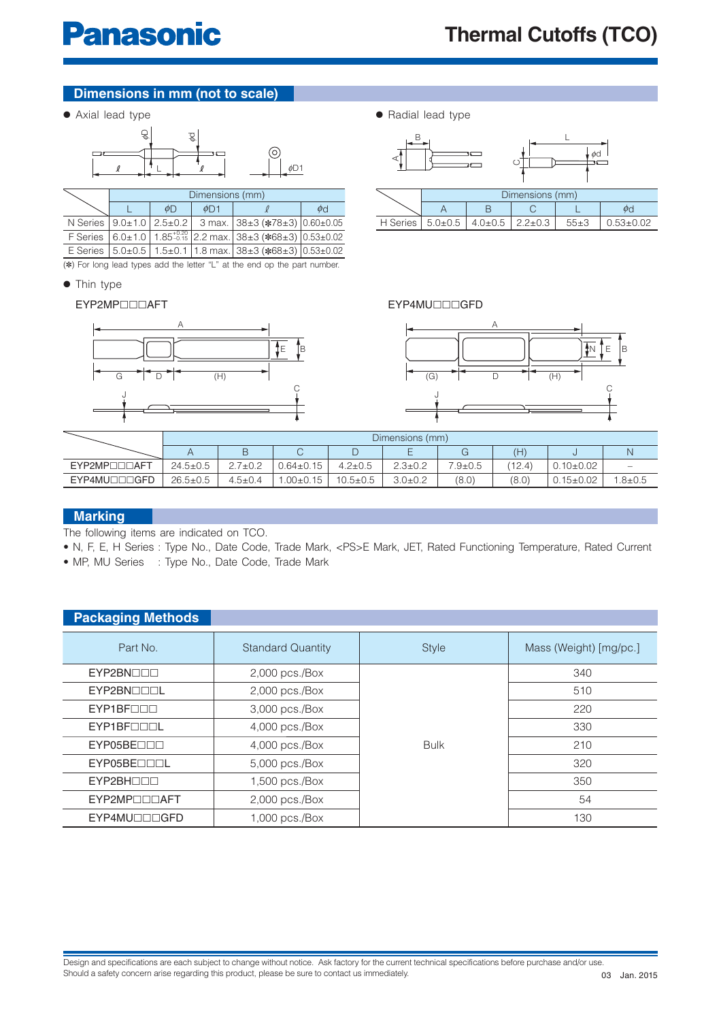# **Dimensions in mm (not to scale)**

● Axial lead type



|                                      | Dimensions (mm) |           |                                                                    |          |  |  |  |  |  |  |  |
|--------------------------------------|-----------------|-----------|--------------------------------------------------------------------|----------|--|--|--|--|--|--|--|
|                                      | ΦD              | $\phi$ D1 |                                                                    | $\phi$ d |  |  |  |  |  |  |  |
| N Series $ 9.0 \pm 1.0 2.5 \pm 0.2 $ |                 |           | 3 max. 38±3 (*78±3) 0.60±0.05                                      |          |  |  |  |  |  |  |  |
|                                      |                 |           | F Series 6.0±1.0 1.85-0.15 2.2 max. 38±3 (*68±3) 0.53±0.02         |          |  |  |  |  |  |  |  |
|                                      |                 |           | E Series   5.0±0.5   1.5±0.1   1.8 max.   38±3 (*68±3)   0.53±0.02 |          |  |  |  |  |  |  |  |

(✽) For long lead types add the letter "L" at the end op the part number.

● Thin type

#### EYP2MP◻◻◻AFT



| • Radial lead type |  |
|--------------------|--|
|--------------------|--|



#### EYP4MU◻◻◻GFD



|                            | Dimensions (mm) |               |                 |               |               |             |        |                 |              |  |  |  |  |
|----------------------------|-----------------|---------------|-----------------|---------------|---------------|-------------|--------|-----------------|--------------|--|--|--|--|
|                            |                 |               |                 | ᅳ             |               |             | H)     |                 |              |  |  |  |  |
| EYP2MP <sub>DD</sub> DAFT  | $24.5 \pm 0.5$  | $7\pm0.2$     | $0.64 \pm 0.15$ | $4.2 \pm 0.5$ | $2.3 \pm 0.2$ | $7.9 + 0.5$ | (12.4) | $.10{\pm}0.02$  | -            |  |  |  |  |
| EYP4MU <sub>IIIO</sub> GFD | $26.5 \pm 0.5$  | $4.5 \pm 0.4$ | $.00+0.15$      | $10.5 + 0.5$  | 3.0±0.2       | (8.0)       | (8.0)  | $0.15 \pm 0.02$ | $.8{\pm}0.5$ |  |  |  |  |

## **Marking**

The following items are indicated on TCO.

- N, F, E, H Series : Type No., Date Code, Trade Mark, <PS>E Mark, JET, Rated Functioning Temperature, Rated Current
- MP, MU Series : Type No., Date Code, Trade Mark

| <b>Packaging Methods</b>   |                          |              |                        |
|----------------------------|--------------------------|--------------|------------------------|
| Part No.                   | <b>Standard Quantity</b> | <b>Style</b> | Mass (Weight) [mg/pc.] |
| EYP2BNOOD                  | $2,000$ pcs./Box         |              | 340                    |
| EYP2BNOOOL                 | $2,000$ pcs./Box         |              | 510                    |
| $EYP1BF\Box\Box\Box$       | 3,000 pcs./Box           |              | 220                    |
| EYP1BF <sub>IIII</sub>     | $4,000$ pcs./Box         |              | 330                    |
| EYP05BE                    | $4,000$ pcs./Box         | <b>Bulk</b>  | 210                    |
| EYP05BE <sub>IIII</sub>    | 5,000 pcs./Box           |              | 320                    |
| EYP2BH <sub>III</sub>      | $1,500$ pcs./Box         |              | 350                    |
| EYP2MP <sub>IIIIAFT</sub>  | 2,000 pcs./Box           |              | 54                     |
| EYP4MU <sub>IIIO</sub> GFD | 1,000 pcs./Box           |              | 130                    |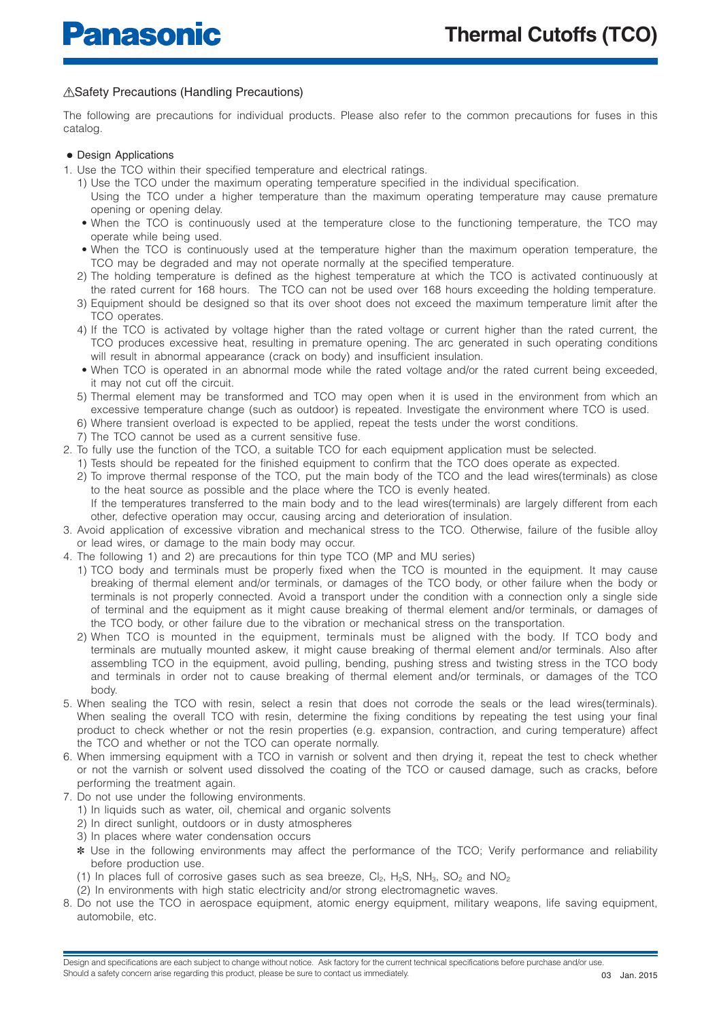## A Safety Precautions (Handling Precautions)

The following are precautions for individual products. Please also refer to the common precautions for fuses in this catalog.

#### ● Design Applications

- 1. Use the TCO within their specified temperature and electrical ratings.
	- 1) Use the TCO under the maximum operating temperature specified in the individual specification.
	- Using the TCO under a higher temperature than the maximum operating temperature may cause premature opening or opening delay.
	- When the TCO is continuously used at the temperature close to the functioning temperature, the TCO may operate while being used.
	- When the TCO is continuously used at the temperature higher than the maximum operation temperature, the TCO may be degraded and may not operate normally at the specified temperature.
	- 2) The holding temperature is defined as the highest temperature at which the TCO is activated continuously at the rated current for 168 hours. The TCO can not be used over 168 hours exceeding the holding temperature.
	- 3) Equipment should be designed so that its over shoot does not exceed the maximum temperature limit after the TCO operates.
	- 4) If the TCO is activated by voltage higher than the rated voltage or current higher than the rated current, the TCO produces excessive heat, resulting in premature opening. The arc generated in such operating conditions will result in abnormal appearance (crack on body) and insufficient insulation.
	- When TCO is operated in an abnormal mode while the rated voltage and/or the rated current being exceeded, it may not cut off the circuit.
	- 5) Thermal element may be transformed and TCO may open when it is used in the environment from which an excessive temperature change (such as outdoor) is repeated. Investigate the environment where TCO is used.
	- 6) Where transient overload is expected to be applied, repeat the tests under the worst conditions.
	- 7) The TCO cannot be used as a current sensitive fuse.
- 2. To fully use the function of the TCO, a suitable TCO for each equipment application must be selected.
	- 1) Tests should be repeated for the finished equipment to confirm that the TCO does operate as expected.
	- 2) To improve thermal response of the TCO, put the main body of the TCO and the lead wires(terminals) as close to the heat source as possible and the place where the TCO is evenly heated. If the temperatures transferred to the main body and to the lead wires(terminals) are largely different from each other, defective operation may occur, causing arcing and deterioration of insulation.
- 3. Avoid application of excessive vibration and mechanical stress to the TCO. Otherwise, failure of the fusible alloy or lead wires, or damage to the main body may occur.
- 4. The following 1) and 2) are precautions for thin type TCO (MP and MU series)
	- 1) TCO body and terminals must be properly fixed when the TCO is mounted in the equipment. It may cause breaking of thermal element and/or terminals, or damages of the TCO body, or other failure when the body or terminals is not properly connected. Avoid a transport under the condition with a connection only a single side of terminal and the equipment as it might cause breaking of thermal element and/or terminals, or damages of the TCO body, or other failure due to the vibration or mechanical stress on the transportation.
	- 2) When TCO is mounted in the equipment, terminals must be aligned with the body. If TCO body and terminals are mutually mounted askew, it might cause breaking of thermal element and/or terminals. Also after assembling TCO in the equipment, avoid pulling, bending, pushing stress and twisting stress in the TCO body and terminals in order not to cause breaking of thermal element and/or terminals, or damages of the TCO body.
- 5. When sealing the TCO with resin, select a resin that does not corrode the seals or the lead wires(terminals). When sealing the overall TCO with resin, determine the fixing conditions by repeating the test using your final product to check whether or not the resin properties (e.g. expansion, contraction, and curing temperature) affect the TCO and whether or not the TCO can operate normally.
- 6. When immersing equipment with a TCO in varnish or solvent and then drying it, repeat the test to check whether or not the varnish or solvent used dissolved the coating of the TCO or caused damage, such as cracks, before performing the treatment again.
- 7. Do not use under the following environments.
	- 1) In liquids such as water, oil, chemical and organic solvents
	- 2) In direct sunlight, outdoors or in dusty atmospheres
	- 3) In places where water condensation occurs
	- ✽ Use in the following environments may affect the performance of the TCO; Verify performance and reliability before production use.
	- (1) In places full of corrosive gases such as sea breeze,  $Cl_2$ ,  $H_2S$ ,  $NH_3$ ,  $SO_2$  and  $NO_2$
	- (2) In environments with high static electricity and/or strong electromagnetic waves.
- 8. Do not use the TCO in aerospace equipment, atomic energy equipment, military weapons, life saving equipment, automobile, etc.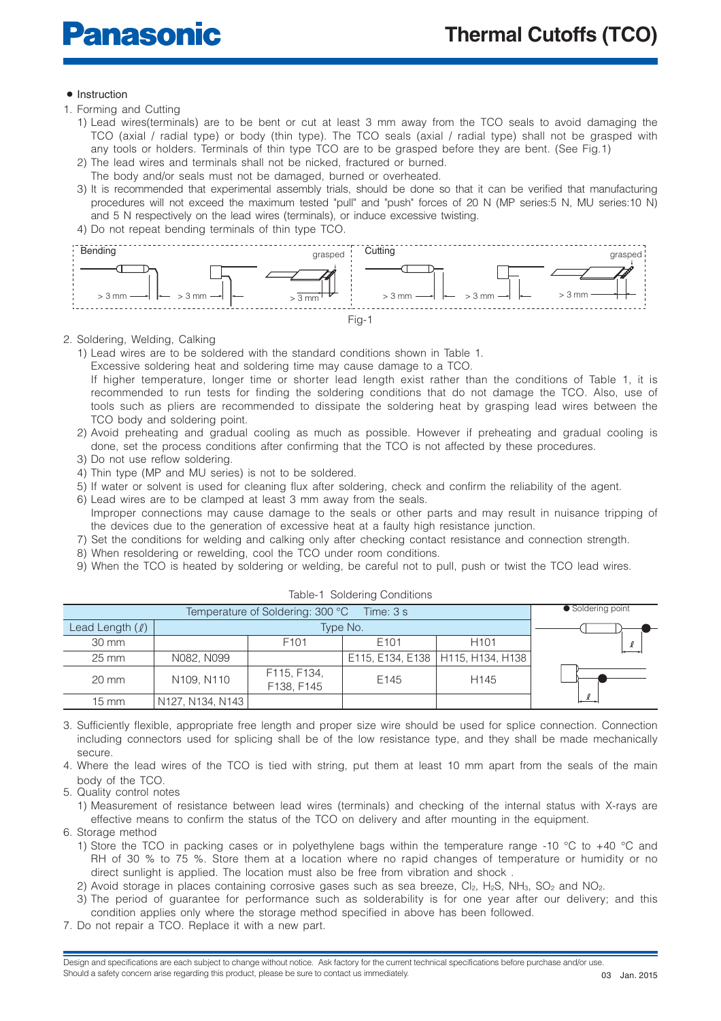#### ● Instruction

- 1. Forming and Cutting
	- 1) Lead wires(terminals) are to be bent or cut at least 3 mm away from the TCO seals to avoid damaging the TCO (axial / radial type) or body (thin type). The TCO seals (axial / radial type) shall not be grasped with any tools or holders. Terminals of thin type TCO are to be grasped before they are bent. (See Fig.1)
	- 2) The lead wires and terminals shall not be nicked, fractured or burned.
	- The body and/or seals must not be damaged, burned or overheated.
	- 3) It is recommended that experimental assembly trials, should be done so that it can be verified that manufacturing procedures will not exceed the maximum tested "pull" and "push" forces of 20 N (MP series:5 N, MU series:10 N) and 5 N respectively on the lead wires (terminals), or induce excessive twisting.
	- 4) Do not repeat bending terminals of thin type TCO.



#### 2. Soldering, Welding, Calking

1) Lead wires are to be soldered with the standard conditions shown in Table 1.

Excessive soldering heat and soldering time may cause damage to a TCO.

- If higher temperature, longer time or shorter lead length exist rather than the conditions of Table 1, it is recommended to run tests for finding the soldering conditions that do not damage the TCO. Also, use of tools such as pliers are recommended to dissipate the soldering heat by grasping lead wires between the TCO body and soldering point.
- 2) Avoid preheating and gradual cooling as much as possible. However if preheating and gradual cooling is done, set the process conditions after confirming that the TCO is not affected by these procedures.
- 3) Do not use reflow soldering.
- 4) Thin type (MP and MU series) is not to be soldered.
- 5) If water or solvent is used for cleaning flux after soldering, check and confirm the reliability of the agent.
- 6) Lead wires are to be clamped at least 3 mm away from the seals. Improper connections may cause damage to the seals or other parts and may result in nuisance tripping of
- the devices due to the generation of excessive heat at a faulty high resistance junction. 7) Set the conditions for welding and calking only after checking contact resistance and connection strength.
- 8) When resoldering or rewelding, cool the TCO under room conditions.
- 9) When the TCO is heated by soldering or welding, be careful not to pull, push or twist the TCO lead wires.

|                   | Temperature of Soldering: 300 °C<br>Time: 3 s<br>Type No. |                           |                  |                                     |          |  |  |  |  |  |  |  |
|-------------------|-----------------------------------------------------------|---------------------------|------------------|-------------------------------------|----------|--|--|--|--|--|--|--|
| Lead Length $(l)$ |                                                           |                           |                  |                                     |          |  |  |  |  |  |  |  |
| 30 mm             |                                                           | F <sub>101</sub>          | E <sub>101</sub> | H <sub>101</sub>                    |          |  |  |  |  |  |  |  |
| $25 \text{ mm}$   | N082, N099                                                |                           |                  | E115, E134, E138   H115, H134, H138 |          |  |  |  |  |  |  |  |
| $20 \text{ mm}$   | N109, N110                                                | F115, F134,<br>F138, F145 | E145             | H <sub>145</sub>                    |          |  |  |  |  |  |  |  |
| $15 \text{ mm}$   | N127, N134, N143                                          |                           |                  |                                     | $\theta$ |  |  |  |  |  |  |  |

#### Table-1 Soldering Conditions

3. Sufficiently flexible, appropriate free length and proper size wire should be used for splice connection. Connection including connectors used for splicing shall be of the low resistance type, and they shall be made mechanically secure.

4. Where the lead wires of the TCO is tied with string, put them at least 10 mm apart from the seals of the main body of the TCO.

5. Quality control notes

1) Measurement of resistance between lead wires (terminals) and checking of the internal status with X-rays are effective means to confirm the status of the TCO on delivery and after mounting in the equipment.

6. Storage method

- 1) Store the TCO in packing cases or in polyethylene bags within the temperature range -10 °C to +40 °C and RH of 30 % to 75 %. Store them at a location where no rapid changes of temperature or humidity or no direct sunlight is applied. The location must also be free from vibration and shock .
- 2) Avoid storage in places containing corrosive gases such as sea breeze,  $Cl_2$ ,  $H_2S$ ,  $NH_3$ ,  $SO_2$  and  $NO_2$ .
- 3) The period of guarantee for performance such as solderability is for one year after our delivery; and this condition applies only where the storage method specified in above has been followed.
- 7. Do not repair a TCO. Replace it with a new part.